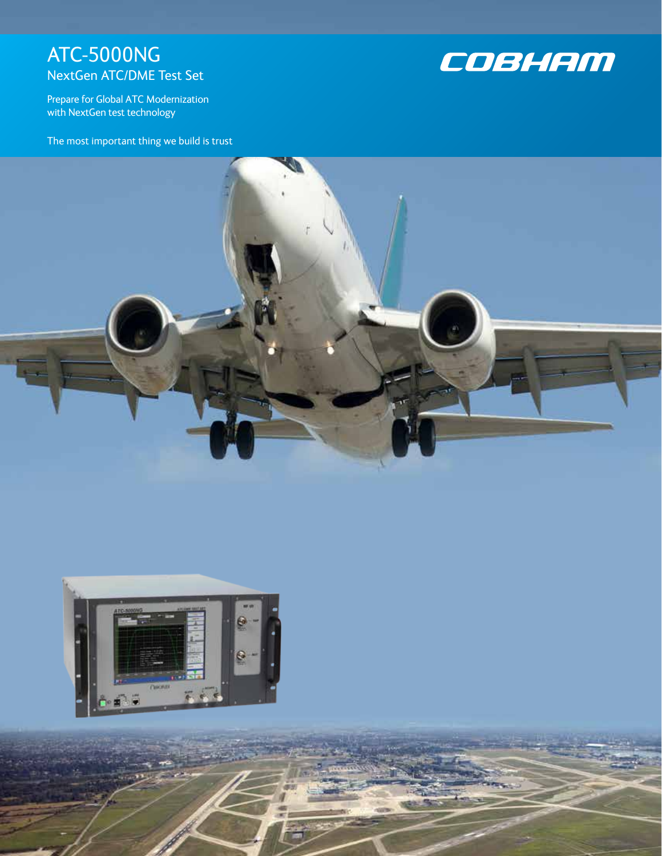# ATC-5000NG NextGen ATC/DME Test Set



Prepare for Global ATC Modernization with NextGen test technology

The most important thing we build is trust